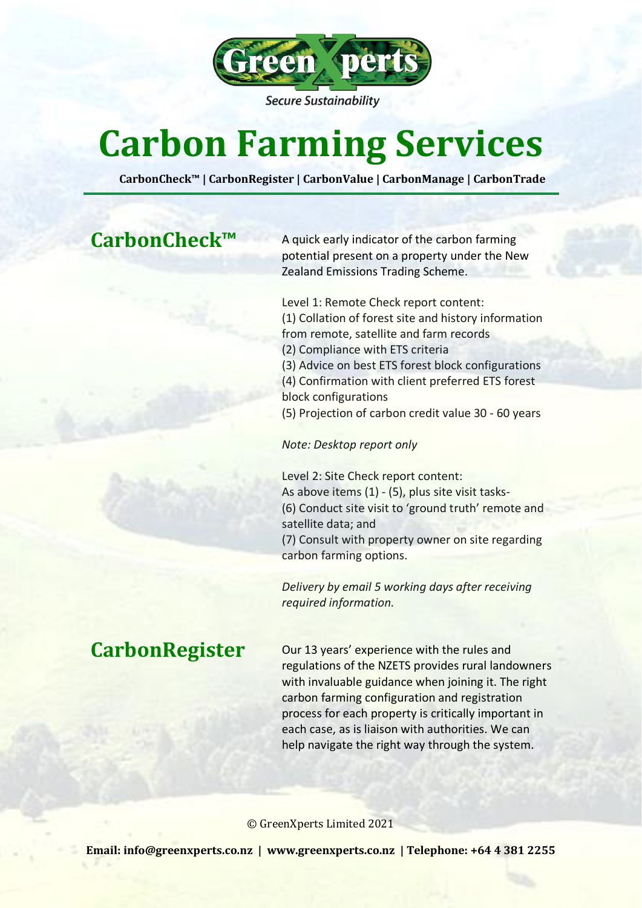

**Secure Sustainability** 

# **Carbon Farming Services**

**CarbonCheck™ | CarbonRegister | CarbonValue | CarbonManage | CarbonTrade**

CarbonCheck<sup>™</sup> A quick early indicator of the carbon farming potential present on a property under the New Zealand Emissions Trading Scheme.

> Level 1: Remote Check report content: (1) Collation of forest site and history information from remote, satellite and farm records (2) Compliance with ETS criteria (3) Advice on best ETS forest block configurations (4) Confirmation with client preferred ETS forest block configurations (5) Projection of carbon credit value 30 - 60 years

*Note: Desktop report only*

Level 2: Site Check report content: As above items (1) - (5), plus site visit tasks- (6) Conduct site visit to 'ground truth' remote and satellite data; and (7) Consult with property owner on site regarding carbon farming options.

*Delivery by email 5 working days after receiving required information.*

CarbonRegister Our 13 years' experience with the rules and regulations of the NZETS provides rural landowners with invaluable guidance when joining it. The right carbon farming configuration and registration process for each property is critically important in each case, as is liaison with authorities. We can help navigate the right way through the system.

© GreenXperts Limited 2021

**Email[: info@greenxperts.co.nz](mailto:info@greenxperts.co.nz) | [www.greenxperts.co.nz](http://www.greenxperts.co.nz/) | Telephone: +64 4 381 2255**